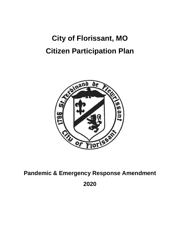# **City of Florissant, MO Citizen Participation Plan**



## **Pandemic & Emergency Response Amendment 2020**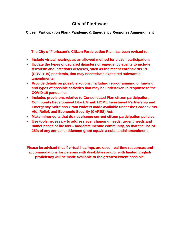### **City of Florissant**

**Citizen Participation Plan - Pandemic & Emergency Response Ammendment**

**The City of Florissant's Citizen Participation Plan has been revised to:**

- **Include virtual hearings as an allowed method for citizen participation;**
- **Update the types of declared disasters or emergency events to include terrorism and infectious diseases, such as the recent coronavirus 19 (COVID-19) pandemic, that may necessitate expedited substantial amendments;**
- **Provide details on possible actions, including reprogramming of funding and types of possible activities that may be undertaken in response to the COVID-19 pandemic;**
- **Includes provisions relative to Consolidated Plan citizen participation, Community Development Block Grant, HOME Investment Partnership and Emergency Solutions Grant waivers made available under the Coronavirus Aid, Relief, and Economic Security (CARES) Act;**
- **Make minor edits that do not change current citizen participation policies.**
- **Use tools necessary to address ever changing needs, urgent needs and unmet needs of the low – moderate income community, so that the use of 25% of any annual entitlement grant equals a substantial amendment.**

**Please be advised that if virtual hearings are used, real-time responses and accommodations for persons with disabilities and/or with limited English proficiency will be made available to the greatest extent possible.**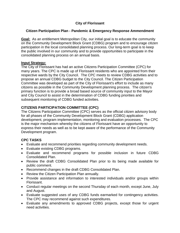#### **City of Florissant**

#### **Citizen Participation Plan - Pandemic & Emergency Response Ammendment**

**Goal:** As an entitlement Metropolitan City, our initial goal is to educate the community on the Community Development Block Grant (CDBG) program and to encourage citizen participation in the local consolidated planning process. Our long-term goal is to keep the public involved in our community and to provide opportunities to participate in the consolidated planning process on an annual basis.

#### **Input Strategy:**

The City of Florissant has had an active Citizens Participation Committee (CPC) for many years. The CPC is made up of Florissant residents who are appointed from their respective wards by the City Council. The CPC meets to review CDBG activities and to propose an annual CDBG budget to the City Council. The Citizen Participation Committee was developed as part of the City of Florissant's effort to include as many citizens as possible in the Community Development planning process. The citizen's primary function is to provide a broad based source of community input to the Mayor and City Council to assist in the determination of CDBG funding priorities and subsequent monitoring of CDBG funded activities.

#### **CITIZENS PARTICIPATION COMMITTEE (CPC)**

The Citizens Participation Committee (CPC) serves as the official citizen advisory body for all phases of the Community Development Block Grant (CDBG) application development, program implementation, monitoring and evaluation processes. The CPC is the major mechanism whereby the citizens of Florissant have an opportunity to express their needs as well as to be kept aware of the performance of the Community Development program.

#### **CPC TASKS**

- Evaluate and recommend priorities regarding community development needs.
- Evaluate existing CDBG programs.
- Evaluate and recommend programs for possible inclusion in future CDBG Consolidated Plan.
- Review the draft CDBG Consolidated Plan prior to its being made available for public comment.
- Recommend changes in the draft CDBG Consolidated Plan.
- Review the Citizen Participation Plan annually.
- Provide assistance and information to interested individuals and/or groups within Florissant.
- Conduct regular meetings on the second Thursday of each month, except June, July and August.
- Evaluate suggested uses of any CDBG funds earmarked for contingency activities. The CPC may recommend against such expenditures.
- Evaluate any amendments to approved CDBG projects, except those for urgent need activities.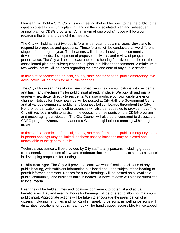Florissant will hold a CPC Commission meeting that will be open to the the public to get input on overall community planning and on the consolidated plan and subsequent annual plan for CDBG programs. A minimum of one weeks' notice will be given regarding the time and date of this meeting.

The City will hold at least two public forums per year to obtain citizens' views and to respond to proposals and questions. These forums will be conducted at two different stages of the program year. The hearings will address housing and community development needs, development of proposed activities, and review of program performance. The City will hold at least one public hearing for citizen input before the consolidated plan and subsequent annual plan is published for comment. A minimum of two weeks' notice will be given regarding the time and date of any public hearing.

#### In times of pandemic and/or local, county, state and/or national public emergency, five days' notice will be given for all public hearings.

The City of Florissant has always been proactive in its communications with residents and has many mechanisms for public input already in place. We publish and mail a quarterly newsletter directly to residents. We also produce our own cable television channel. Notices for these hearings will be posted at City Hall, the Government Center and at various community, public, and business bulletin boards throughout the City. Nonprofit organizations and other agencies will also be requested to provide input. The City utilizes local media to assist in the educating of residents on the CDBG program and encouraging participation. The City Council will also be encouraged to discuss the CDBG program whenever they attend a Ward or neighborhood meeting within targeted areas.

#### In times of pandemic and/or local, county, state and/or national public emergency, some in-person postings may be limited, as those posting locations may be closed and unavailable to the general public.

Technical assistance will be provided by City staff to any persons, including groups representative of persons of low- and moderate- income, that requests such assistance in developing proposals for funding.

**Public Hearings:** The City will provide a least two weeks' notice to citizens of any public hearing, with sufficient information published about the subject of the hearing to permit informed comment. Notices for public hearings will be posted on all available public, community, and business bulletin boards. A news release will also be submitted to local media.

Hearings will be held at times and locations convenient to potential and actual beneficiaries. Day and evening hours for hearings will be offered to allow for maximum public input. Appropriate actions will be taken to encourage the participation of all citizens including minorities and non-English speaking persons, as well as persons with disabilities. Locations for public hearings will be handicapped-accessible. Handicapped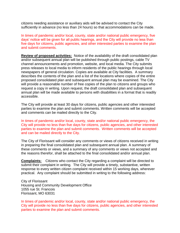citizens needing assistance or auxiliary aids will be advised to contact the City sufficiently in advance (no less than 24 hours) so that accommodations can be made.

In times of pandemic and/or local, county, state and/or national public emergency, five days' notice will be given for all public hearings, and the City will provide no less than five days for citizens, public agencies, and other interested parties to examine the plan and submit comments.

**Review of proposed activities:** Notice of the availability of the draft consolidated plan and/or subsequent annual plan will be published through public postings, cable TV channel announcements and promotion, website, and local media. The City submits press releases to local media to inform residents of the public hearings through local newspapers of general circulation. Copies are available at City facilities. A summary describes the contents of the plan and a list of the locations where copies of the entire proposed consolidated plan and subsequent annual plan may be examined. The City will provide a reasonable number of free copies of the plan to citizens and groups who request a copy in writing. Upon request, the draft consolidated plan and subsequent annual plan will be made available to persons with disabilities in a format that is readily accessible.

The City will provide at least 30 days for citizens, public agencies and other interested parties to examine the plan and submit comments. Written comments will be accepted and comments can be mailed directly to the City.

In times of pandemic and/or local, county, state and/or national public emergency, the City will provide no less than five days for citizens, public agencies, and other interested parties to examine the plan and submit comments. Written comments will be accepted and can be mailed directly to the City.

The City of Florissant will consider any comments or views of citizens received in writing in preparing the final consolidated plan and subsequent annual plan. A summary of these comments or views, and a summary of any comments or views not accepted and the reasons therefor, shall be attached to the final consolidated and/or annual plan.

**Complaints:** Citizens who contact the City regarding a complaint will be directed to submit their complaint in writing. The City will provide a timely, substantive, written response to every written citizen complaint received within 15 working days, wherever practical. Any complaint should be submitted in writing to the following address:

City of Florissant Housing and Community Development Office 1055 rue St. Francois Florissant, MO 63031

In times of pandemic and/or local, county, state and/or national public emergency, the City will provide no less than five days for citizens, public agencies, and other interested parties to examine the plan and submit comments.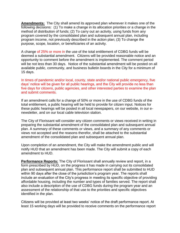**Amendments:** The City shall amend its approved plan whenever it makes one of the following decisions: (1) To make a change in its allocation priorities or a change in the method of distribution of funds; (2) To carry out an activity, using funds from any program covered by the consolidated plan and subsequent annual plan, including program income, not previously described in the action plan; (3) To change the purpose, scope, location, or beneficiaries of an activity.

A change of 25% or more in the use of the total entitlement of CDBG funds will be deemed a substantial amendment. Citizens will be provided reasonable notice and an opportunity to comment before the amendment is implemented. The comment period will be not less than 30 days. Notice of the substantial amendment will be posted on all available public, community, and business bulletin boards in the City for a minimum of 15 days.

In times of pandemic and/or local, county, state and/or national public emergency, five days' notice will be given for all public hearings, and the City will provide no less than five days for citizens, public agencies, and other interested parties to examine the plan and submit comments.

If an amendment calls for a change of 50% or more in the use of CDBG funds of the total entitlement, a public hearing will be held to provide for citizen input. Notices for these public hearings will be posted in all local newspapers, on our website, in our enewsletter, and on our local cable television station.

The City of Florissant will consider any citizen comments or views received in writing in preparing the substantial amendment of the consolidated plan and subsequent annual plan. A summary of these comments or views, and a summary of any comments or views not accepted and the reasons therefor, shall be attached to the substantial amendment of the consolidated plan and subsequent annual plan.

Upon completion of an amendment, the City will make the amendment public and will notify HUD that an amendment has been made. The City will submit a copy of each amendment to HUD.

**Performance Reports:** The City of Florissant shall annually review and report, in a form prescribed by HUD, on the progress it has made in carrying out its consolidated plan and subsequent annual plan. This performance report shall be submitted to HUD within 90 days after the close of the jurisdiction's program year. The reports shall include an evaluation of the City's progress in meeting its specific objective of providing affordable housing, including the number and types of families served. The report shall also include a description of the use of CDBG funds during the program year and an assessment of the relationship of that use to the priorities and specific objectives identified in the plan.

Citizens will be provided at least two weeks' notice of the draft performance report. At least 15 working days will be provided to receive comments on the performance report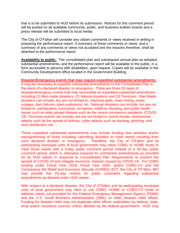that is to be submitted to HUD before its submission. Notices for this comment period will be posted on all available community, public, and business bulletin boards and a press release will be submitted to local media.

The City of O'Fallon will consider any citizen comments or views received in writing in preparing the performance report. A summary of these comments or views, and a summary of any comments or views not accepted and the reasons therefore, shall be attached to the performance report.

**Availability to public:** The consolidated plan and subsequent annual plan as adopted, substantial amendments, and the performance report will be available to the public, in a form accessible to persons with disabilities, upon request. Copies will be available in the Community Development office located in the Government Building.

#### **Disaster/Emergency events that may require expedited substantial amendments:**

It may be necessary to expedite substantial amendments to the Consolidated Plan in the event of a declared disaster or emergency. There are three (3) types of disaster/emergency events that may necessitate an expedited substantial amendment including (1) Man-made disasters, (2) Natural disasters, and (3) Terrorism. Man-Made disasters can include, but are not limited to, chemical spills, mass rioting, power outages, dam failures, plant explosions, etc. National disasters can include, but are not limited to, earthquakes, hurricanes, tornadoes, wildfires, flooding, and public health issues such as wide-spread disease such as the recent coronavirus pandemic (COVID-19). Terrorism events can include, but are not limited to, bomb threats, biochemical attacks such as the spread of anthrax, cyber-attacks such as hacking, phishing, and virus distribution, etc.

These expedited substantial amendments may include funding new activities and/or reprogramming of funds including cancelling activities to meet needs resulting from such declared disaster or emergency. Therefore, the City of O'Fallon and its participating municipal units of local government may utilize CDBG or HOME funds to meet these needs with a 5-day public comment period instead of a 30-day public comment period, which is otherwise required for substantial amendments as provided for by HUD waiver in response to Consolidated Plan Requirements to prevent the spread of COVID-19 and mitigate economic impacts caused by COVID-19. For CDBG funding under Fiscal Year 2019, Fiscal Year 2020, and/or CDBG-CV and the Coronavirus Aid Relief and Economic Security (CARES) ACT, the City of O'Fallon, MO may provide five (5)-day notices for public comments regarding substantial amendments as allowed under HUD waiver.

With respect to a declared disaster, the City of O'Fallon and its participating municipal units of local government may elect to use CDBG, HOME or CDBG-CV funds to address needs not provided for the Federal Emergency Management Agency (FEMA) and the U.S. Small Business Administration (SBA), or other disaster relief efforts. Funding for disaster relief may not duplicate other efforts undertaken by federal, state, local and/or insurance sources unless allowed by the federal government. HUD may